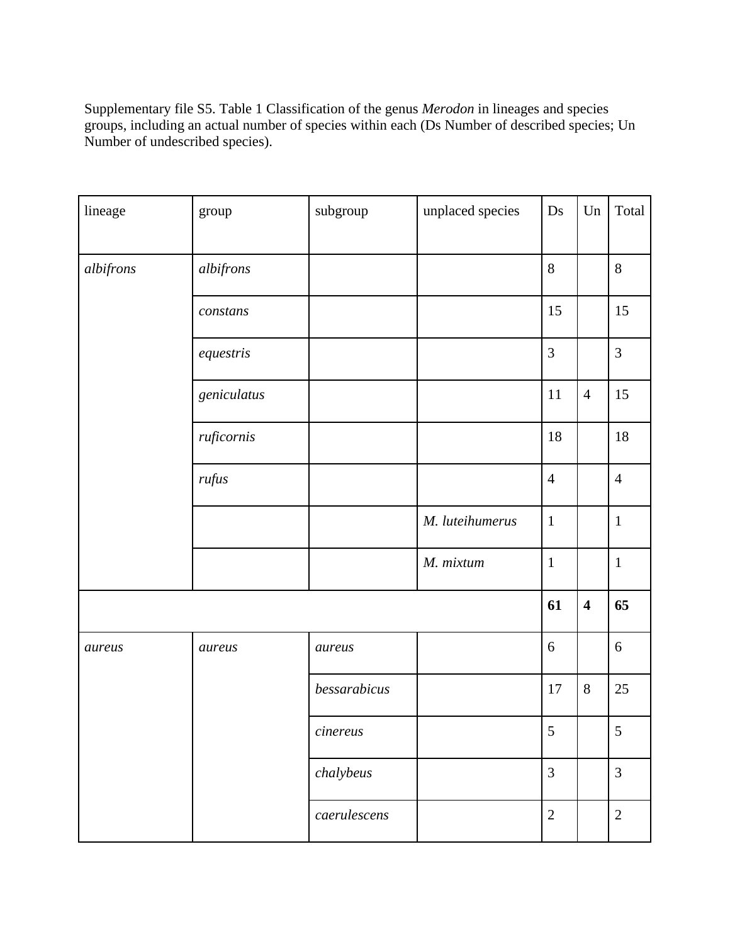Supplementary file S5. Table 1 Classification of the genus *Merodon* in lineages and species groups, including an actual number of species within each (Ds Number of described species; Un Number of undescribed species).

| lineage   | group       | subgroup          | unplaced species | Ds             | Un                      | Total          |
|-----------|-------------|-------------------|------------------|----------------|-------------------------|----------------|
| albifrons | albifrons   |                   |                  | 8              |                         | 8              |
|           | constans    |                   |                  | 15             |                         | 15             |
|           | equestris   |                   |                  | $\mathfrak{Z}$ |                         | $\overline{3}$ |
|           | geniculatus |                   |                  | 11             | $\overline{4}$          | 15             |
|           | ruficornis  |                   |                  | $18\,$         |                         | 18             |
|           | rufus       |                   |                  | $\overline{4}$ |                         | $\overline{4}$ |
|           |             |                   | M. luteihumerus  | $\mathbf{1}$   |                         | $\mathbf{1}$   |
|           |             |                   | M. mixtum        | $\mathbf{1}$   |                         | $\mathbf{1}$   |
|           |             |                   |                  |                | $\overline{\mathbf{4}}$ | 65             |
| aureus    | aureus      | aureus            |                  | 6              |                         | $6\,$          |
|           |             | bessarabicus      |                  | $17\,$         | $8\,$                   | 25             |
|           |             | $\emph{cinereus}$ |                  | 5              |                         | $\overline{5}$ |
|           |             | chalybeus         |                  | $\overline{3}$ |                         | $\overline{3}$ |
|           |             | caerulescens      |                  | $\overline{2}$ |                         | $\overline{2}$ |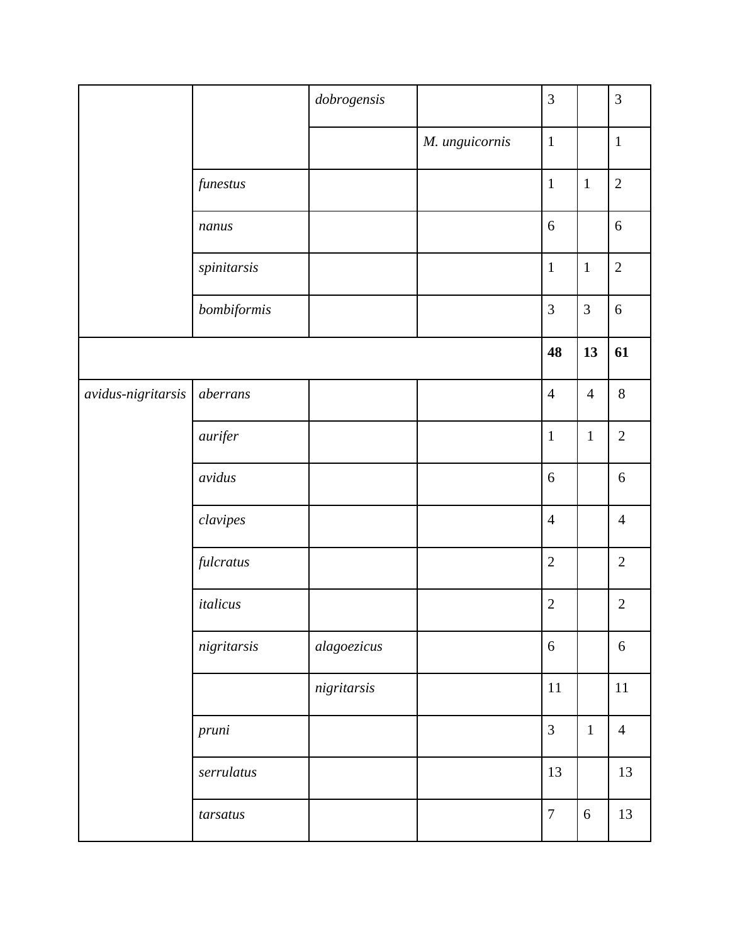|                      |             | dobrogensis |                | 3                |                | $\mathfrak{Z}$   |
|----------------------|-------------|-------------|----------------|------------------|----------------|------------------|
|                      |             |             | M. unguicornis | $\mathbf{1}$     |                | $\mathbf{1}$     |
|                      | funestus    |             |                | $\mathbf{1}$     | $\mathbf{1}$   | $\sqrt{2}$       |
|                      | nanus       |             |                | 6                |                | 6                |
|                      | spinitarsis |             |                | $\mathbf{1}$     | $\mathbf{1}$   | $\overline{2}$   |
|                      | bombiformis |             |                | 3                | 3              | 6                |
|                      |             |             |                | 48               | 13             | 61               |
| $avidus-nigritarsis$ | aberrans    |             |                | $\overline{4}$   | $\overline{4}$ | $8\,$            |
|                      | aurifer     |             |                | $\mathbf{1}$     | $\mathbf{1}$   | $\overline{2}$   |
|                      | avidus      |             |                | 6                |                | $\boldsymbol{6}$ |
|                      | clavipes    |             |                | $\overline{4}$   |                | $\overline{4}$   |
|                      | fulcratus   |             |                | $\overline{2}$   |                | $\mathbf{2}$     |
|                      | italicus    |             |                | $\sqrt{2}$       |                | $\sqrt{2}$       |
|                      | nigritarsis | alagoezicus |                | $6\,$            |                | $6\,$            |
|                      |             | nigritarsis |                | 11               |                | $11\,$           |
|                      | pruni       |             |                | $\overline{3}$   | $\mathbf{1}$   | $\overline{4}$   |
|                      | serrulatus  |             |                | 13               |                | 13               |
|                      | tarsatus    |             |                | $\boldsymbol{7}$ | $\sqrt{6}$     | 13               |